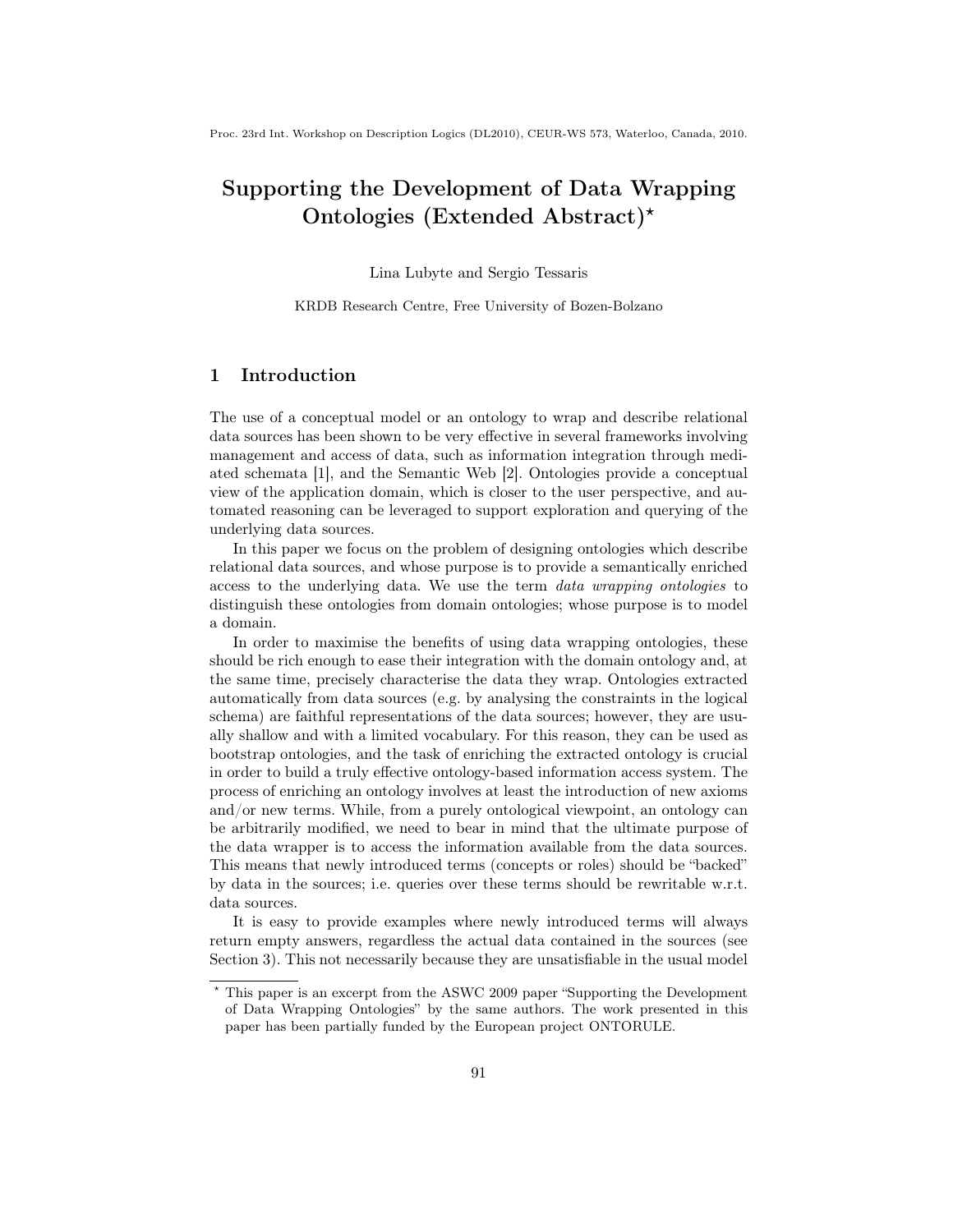Proc. 23rd Int. Workshop on Description Logics (DL2010), CEUR-WS 573, Waterloo, Canada, 2010.

# Supporting the Development of Data Wrapping Ontologies (Extended Abstract)<sup>\*</sup>

Lina Lubyte and Sergio Tessaris

KRDB Research Centre, Free University of Bozen-Bolzano

## 1 Introduction

The use of a conceptual model or an ontology to wrap and describe relational data sources has been shown to be very effective in several frameworks involving management and access of data, such as information integration through mediated schemata [1], and the Semantic Web [2]. Ontologies provide a conceptual view of the application domain, which is closer to the user perspective, and automated reasoning can be leveraged to support exploration and querying of the underlying data sources.

In this paper we focus on the problem of designing ontologies which describe relational data sources, and whose purpose is to provide a semantically enriched access to the underlying data. We use the term data wrapping ontologies to distinguish these ontologies from domain ontologies; whose purpose is to model a domain.

In order to maximise the benefits of using data wrapping ontologies, these should be rich enough to ease their integration with the domain ontology and, at the same time, precisely characterise the data they wrap. Ontologies extracted automatically from data sources (e.g. by analysing the constraints in the logical schema) are faithful representations of the data sources; however, they are usually shallow and with a limited vocabulary. For this reason, they can be used as bootstrap ontologies, and the task of enriching the extracted ontology is crucial in order to build a truly effective ontology-based information access system. The process of enriching an ontology involves at least the introduction of new axioms and/or new terms. While, from a purely ontological viewpoint, an ontology can be arbitrarily modified, we need to bear in mind that the ultimate purpose of the data wrapper is to access the information available from the data sources. This means that newly introduced terms (concepts or roles) should be "backed" by data in the sources; i.e. queries over these terms should be rewritable w.r.t. data sources.

It is easy to provide examples where newly introduced terms will always return empty answers, regardless the actual data contained in the sources (see Section 3). This not necessarily because they are unsatisfiable in the usual model

This paper is an excerpt from the ASWC 2009 paper "Supporting the Development of Data Wrapping Ontologies" by the same authors. The work presented in this paper has been partially funded by the European project ONTORULE.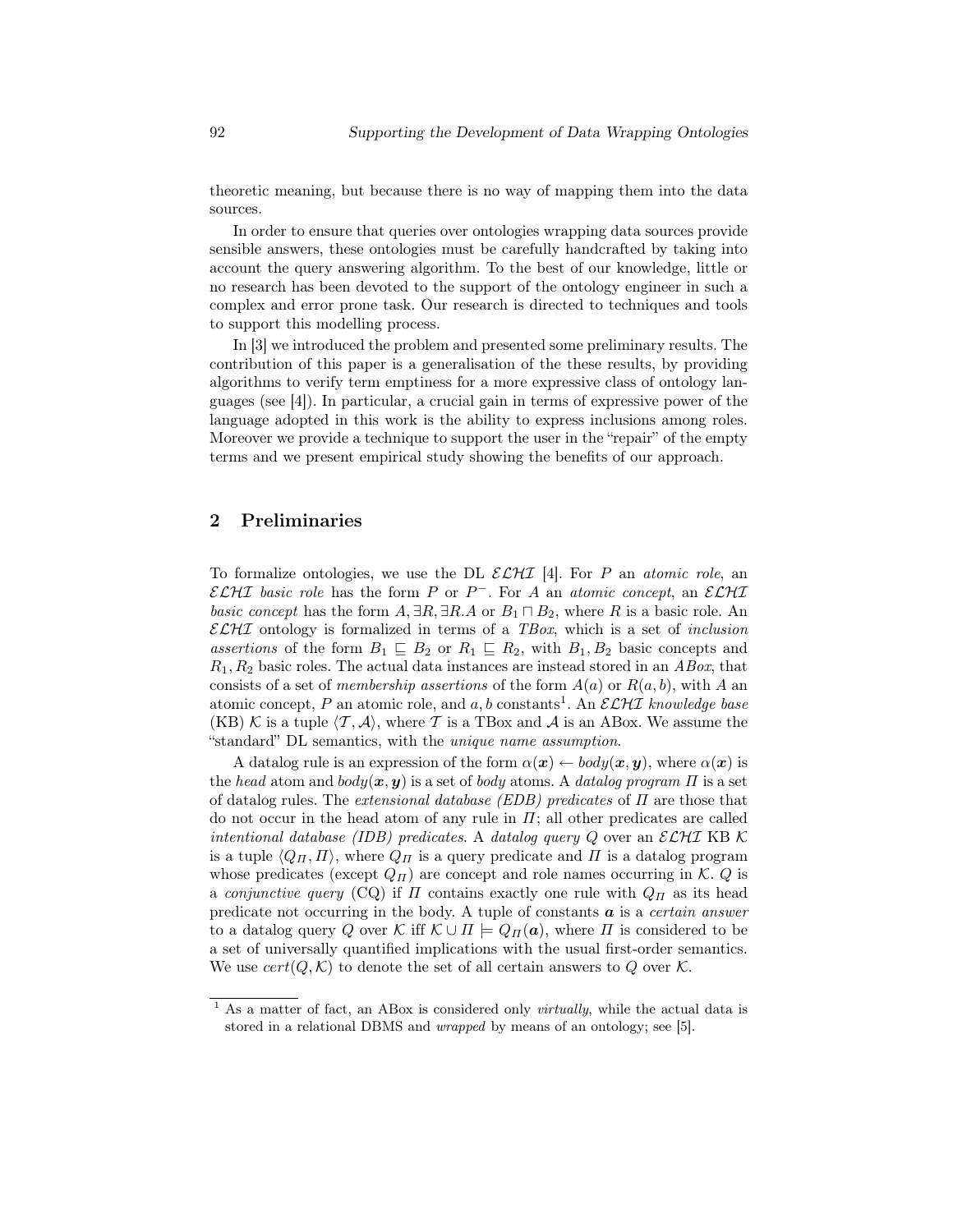theoretic meaning, but because there is no way of mapping them into the data sources.

In order to ensure that queries over ontologies wrapping data sources provide sensible answers, these ontologies must be carefully handcrafted by taking into account the query answering algorithm. To the best of our knowledge, little or no research has been devoted to the support of the ontology engineer in such a complex and error prone task. Our research is directed to techniques and tools to support this modelling process.

In [3] we introduced the problem and presented some preliminary results. The contribution of this paper is a generalisation of the these results, by providing algorithms to verify term emptiness for a more expressive class of ontology languages (see [4]). In particular, a crucial gain in terms of expressive power of the language adopted in this work is the ability to express inclusions among roles. Moreover we provide a technique to support the user in the "repair" of the empty terms and we present empirical study showing the benefits of our approach.

#### 2 Preliminaries

To formalize ontologies, we use the DL  $\mathcal{ELHI}$  [4]. For P an atomic role, an  $\mathcal{ELHL}$  basic role has the form P or P<sup>-</sup>. For A an atomic concept, an  $\mathcal{ELHL}$ basic concept has the form  $A, \exists R, \exists R.A$  or  $B_1 \sqcap B_2$ , where R is a basic role. An  $\mathcal{ELH}$  ontology is formalized in terms of a TBox, which is a set of *inclusion* assertions of the form  $B_1 \subseteq B_2$  or  $R_1 \subseteq R_2$ , with  $B_1, B_2$  basic concepts and  $R_1, R_2$  basic roles. The actual data instances are instead stored in an  $ABox$ , that consists of a set of *membership assertions* of the form  $A(a)$  or  $R(a, b)$ , with A an atomic concept, P an atomic role, and a, b constants<sup>1</sup>. An  $\mathcal{ELHI}$  knowledge base (KB) K is a tuple  $\langle T, A \rangle$ , where T is a TBox and A is an ABox. We assume the "standard" DL semantics, with the unique name assumption.

A datalog rule is an expression of the form  $\alpha(x) \leftarrow body(x, y)$ , where  $\alpha(x)$  is the head atom and  $body(x, y)$  is a set of body atoms. A datalog program  $\Pi$  is a set of datalog rules. The *extensional database (EDB) predicates* of  $\Pi$  are those that do not occur in the head atom of any rule in  $\Pi$ ; all other predicates are called intentional database (IDB) predicates. A datalog query  $Q$  over an  $\mathcal{ELHL}$  KB K is a tuple  $\langle Q_{\Pi}, \Pi \rangle$ , where  $Q_{\Pi}$  is a query predicate and  $\Pi$  is a datalog program whose predicates (except  $Q_{\Pi}$ ) are concept and role names occurring in K. Q is a conjunctive query (CQ) if  $\Pi$  contains exactly one rule with  $Q_{\Pi}$  as its head predicate not occurring in the body. A tuple of constants  $\boldsymbol{a}$  is a *certain answer* to a datalog query Q over K iff  $\mathcal{K} \cup \Pi \models Q_{\Pi}(\boldsymbol{a})$ , where  $\Pi$  is considered to be a set of universally quantified implications with the usual first-order semantics. We use  $cert(Q, \mathcal{K})$  to denote the set of all certain answers to Q over  $\mathcal{K}$ .

 $1$  As a matter of fact, an ABox is considered only *virtually*, while the actual data is stored in a relational DBMS and wrapped by means of an ontology; see [5].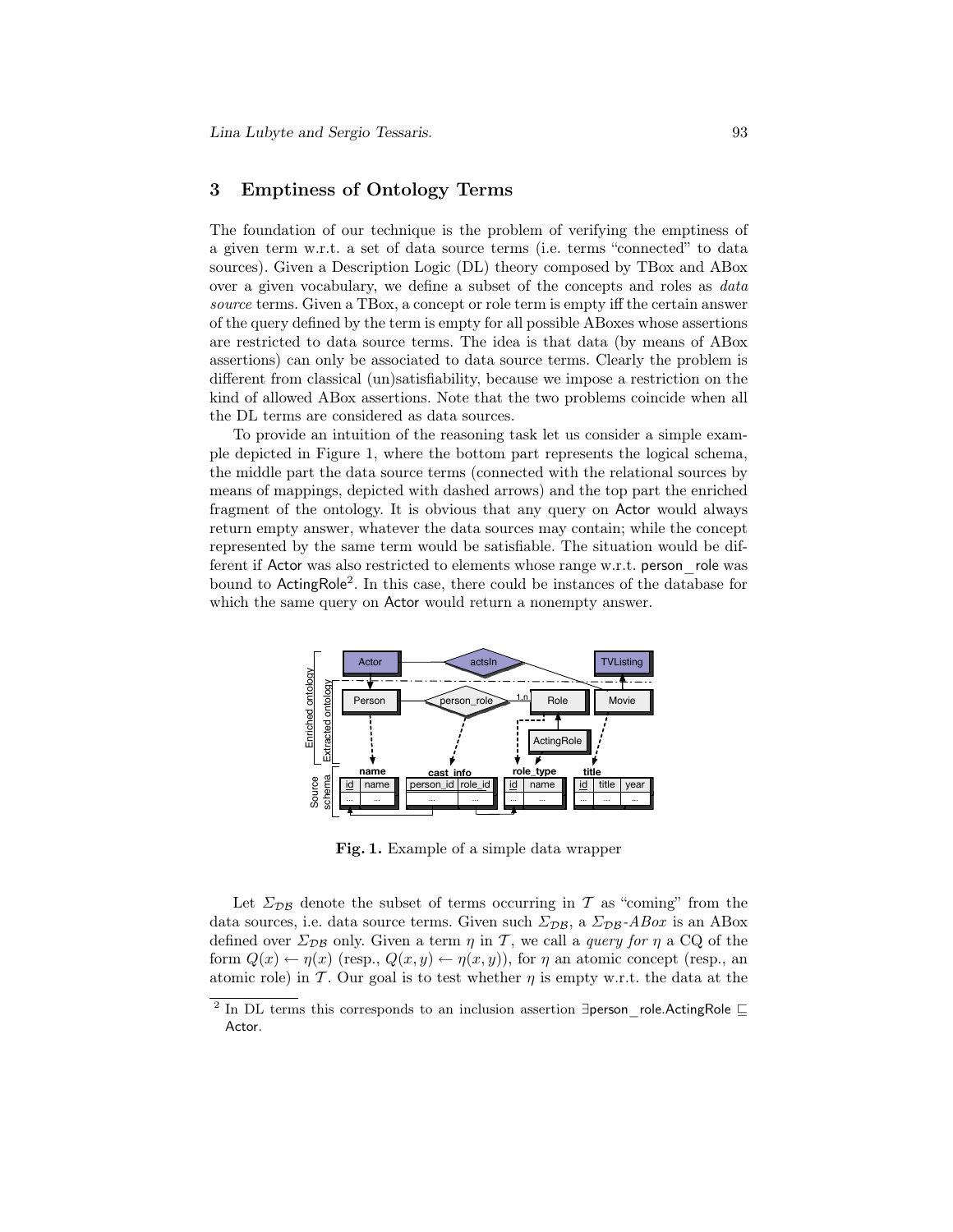### 3 Emptiness of Ontology Terms

The foundation of our technique is the problem of verifying the emptiness of a given term w.r.t. a set of data source terms (i.e. terms "connected" to data sources). Given a Description Logic (DL) theory composed by TBox and ABox over a given vocabulary, we define a subset of the concepts and roles as data source terms. Given a TBox, a concept or role term is empty iff the certain answer of the query defined by the term is empty for all possible ABoxes whose assertions are restricted to data source terms. The idea is that data (by means of ABox assertions) can only be associated to data source terms. Clearly the problem is different from classical (un)satisfiability, because we impose a restriction on the kind of allowed ABox assertions. Note that the two problems coincide when all the DL terms are considered as data sources.

To provide an intuition of the reasoning task let us consider a simple example depicted in Figure 1, where the bottom part represents the logical schema, the middle part the data source terms (connected with the relational sources by means of mappings, depicted with dashed arrows) and the top part the enriched fragment of the ontology. It is obvious that any query on Actor would always return empty answer, whatever the data sources may contain; while the concept represented by the same term would be satisfiable. The situation would be different if Actor was also restricted to elements whose range w.r.t. person\_role was bound to ActingRole<sup>2</sup> . In this case, there could be instances of the database for which the same query on Actor would return a nonempty answer.



Fig. 1. Example of a simple data wrapper

Let  $\Sigma_{\text{DB}}$  denote the subset of terms occurring in T as "coming" from the data sources, i.e. data source terms. Given such  $\Sigma_{\mathcal{DB}}$ , a  $\Sigma_{\mathcal{DB}}$ -ABox is an ABox defined over  $\Sigma_{\mathcal{DB}}$  only. Given a term  $\eta$  in T, we call a *query for*  $\eta$  a CQ of the form  $Q(x) \leftarrow \eta(x)$  (resp.,  $Q(x, y) \leftarrow \eta(x, y)$ ), for  $\eta$  an atomic concept (resp., an atomic role) in T. Our goal is to test whether  $\eta$  is empty w.r.t. the data at the

<sup>2</sup> In DL terms this corresponds to an inclusion assertion ∃person\_role.ActingRole ⊑ Actor.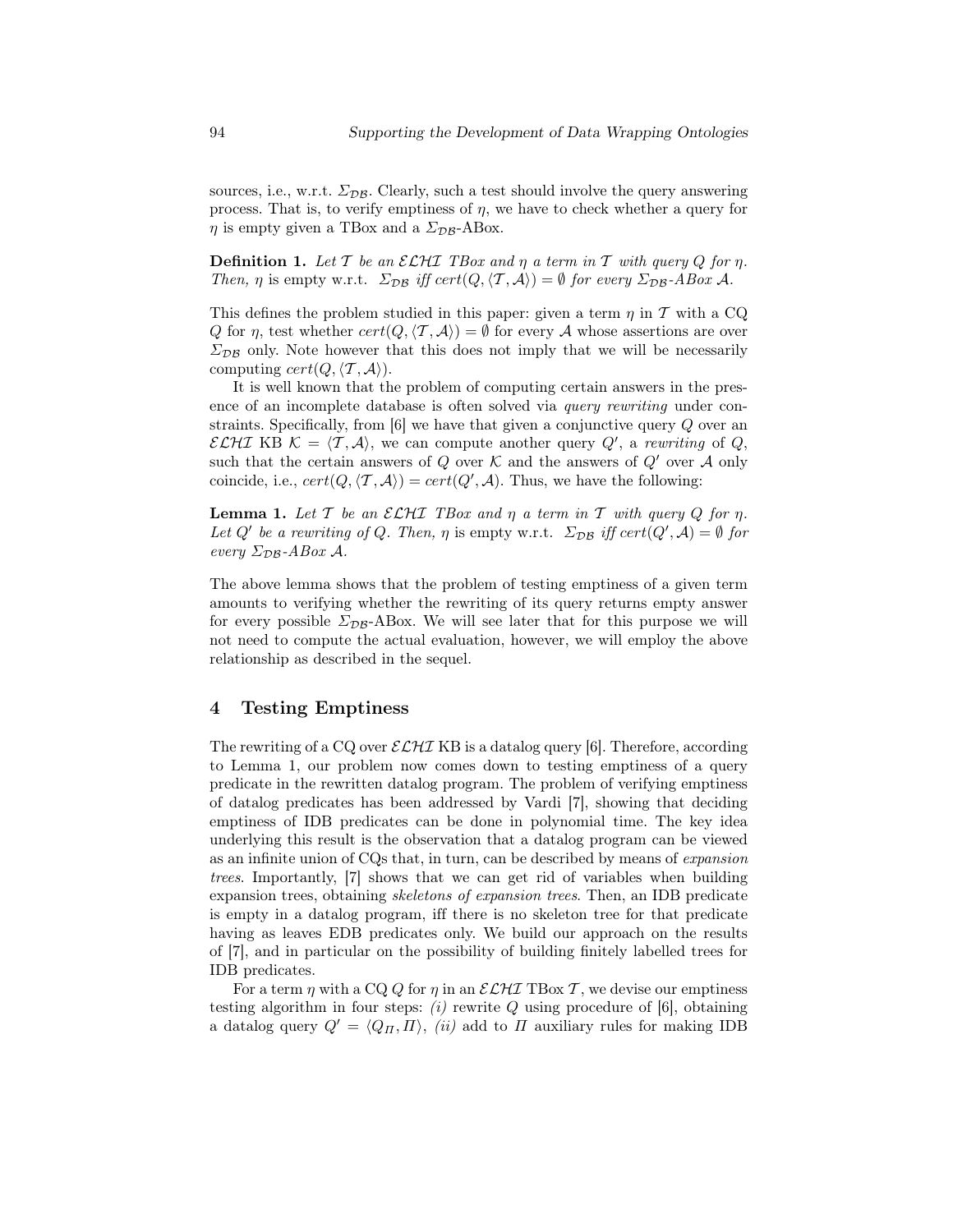sources, i.e., w.r.t.  $\Sigma_{\mathcal{DB}}$ . Clearly, such a test should involve the query answering process. That is, to verify emptiness of  $\eta$ , we have to check whether a query for  $\eta$  is empty given a TBox and a  $\Sigma_{\mathcal{DB}}$ -ABox.

**Definition 1.** Let T be an  $\mathcal{ELHL}$  TBox and  $\eta$  a term in T with query Q for  $\eta$ . Then,  $\eta$  is empty w.r.t.  $\Sigma_{DB}$  iff cert $(Q, \langle T, A \rangle) = \emptyset$  for every  $\Sigma_{DB}$ -ABox A.

This defines the problem studied in this paper: given a term  $\eta$  in T with a CQ Q for  $\eta$ , test whether  $cert(Q, \langle T, A \rangle) = \emptyset$  for every A whose assertions are over  $\Sigma_{\text{DB}}$  only. Note however that this does not imply that we will be necessarily computing  $cert(Q, \langle T, \mathcal{A} \rangle).$ 

It is well known that the problem of computing certain answers in the presence of an incomplete database is often solved via query rewriting under constraints. Specifically, from [6] we have that given a conjunctive query Q over an ECHI KB  $\mathcal{K} = \langle \mathcal{T}, \mathcal{A} \rangle$ , we can compute another query  $Q'$ , a rewriting of Q, such that the certain answers of  $Q$  over  $K$  and the answers of  $Q'$  over  $A$  only coincide, i.e.,  $cert(Q, \langle T, A \rangle) = cert(Q', A)$ . Thus, we have the following:

**Lemma 1.** Let  $T$  be an  $\mathcal{ELHL}$  TBox and  $\eta$  a term in  $T$  with query  $Q$  for  $\eta$ . Let Q' be a rewriting of Q. Then,  $\eta$  is empty w.r.t.  $\Sigma_{DB}$  iff cert( $Q', A$ ) = Ø for every  $\Sigma_{\mathcal{DB}}$ -ABox A.

The above lemma shows that the problem of testing emptiness of a given term amounts to verifying whether the rewriting of its query returns empty answer for every possible  $\Sigma_{\text{DB}}$ -ABox. We will see later that for this purpose we will not need to compute the actual evaluation, however, we will employ the above relationship as described in the sequel.

#### 4 Testing Emptiness

The rewriting of a CQ over  $\mathcal{ELHL}$  KB is a datalog query [6]. Therefore, according to Lemma 1, our problem now comes down to testing emptiness of a query predicate in the rewritten datalog program. The problem of verifying emptiness of datalog predicates has been addressed by Vardi [7], showing that deciding emptiness of IDB predicates can be done in polynomial time. The key idea underlying this result is the observation that a datalog program can be viewed as an infinite union of CQs that, in turn, can be described by means of expansion trees. Importantly, [7] shows that we can get rid of variables when building expansion trees, obtaining skeletons of expansion trees. Then, an IDB predicate is empty in a datalog program, iff there is no skeleton tree for that predicate having as leaves EDB predicates only. We build our approach on the results of [7], and in particular on the possibility of building finitely labelled trees for IDB predicates.

For a term  $\eta$  with a CQ Q for  $\eta$  in an  $\mathcal{ELHI}$  TBox T, we devise our emptiness testing algorithm in four steps:  $(i)$  rewrite  $Q$  using procedure of [6], obtaining a datalog query  $Q' = \langle Q_{\Pi}, \Pi \rangle$ , (ii) add to  $\Pi$  auxiliary rules for making IDB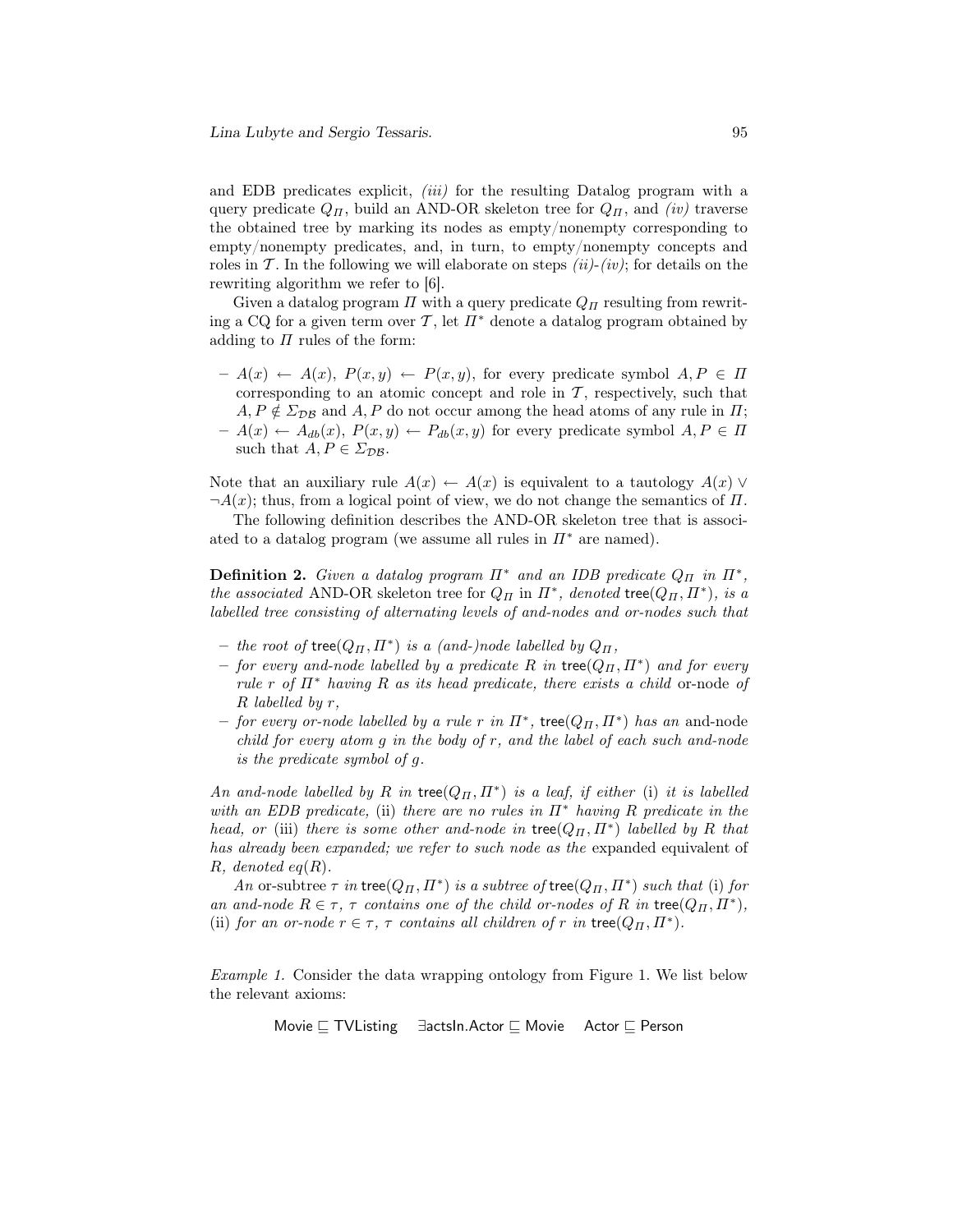and EDB predicates explicit, *(iii)* for the resulting Datalog program with a query predicate  $Q_{\Pi}$ , build an AND-OR skeleton tree for  $Q_{\Pi}$ , and *(iv)* traverse the obtained tree by marking its nodes as empty/nonempty corresponding to empty/nonempty predicates, and, in turn, to empty/nonempty concepts and roles in  $\mathcal T$ . In the following we will elaborate on steps *(ii)-(iv)*; for details on the rewriting algorithm we refer to [6].

Given a datalog program  $\Pi$  with a query predicate  $Q_{\Pi}$  resulting from rewriting a CQ for a given term over T, let  $\Pi^*$  denote a datalog program obtained by adding to  $\Pi$  rules of the form:

 $- A(x) \leftarrow A(x), P(x, y) \leftarrow P(x, y)$ , for every predicate symbol  $A, P \in \Pi$ corresponding to an atomic concept and role in  $\mathcal T$ , respectively, such that  $A, P \notin \Sigma_{\text{DB}}$  and  $A, P$  do not occur among the head atoms of any rule in  $\Pi$ ;  $-A(x) \leftarrow A_{db}(x), P(x, y) \leftarrow P_{db}(x, y)$  for every predicate symbol  $A, P \in \Pi$ such that  $A, P \in \Sigma_{\mathcal{DB}}$ .

Note that an auxiliary rule  $A(x) \leftarrow A(x)$  is equivalent to a tautology  $A(x) \vee$  $\neg A(x)$ ; thus, from a logical point of view, we do not change the semantics of  $\Pi$ .

The following definition describes the AND-OR skeleton tree that is associated to a datalog program (we assume all rules in  $\Pi^*$  are named).

**Definition 2.** Given a datalog program  $\Pi^*$  and an IDB predicate  $Q_{\Pi}$  in  $\Pi^*$ , the associated AND-OR skeleton tree for  $Q_{\Pi}$  in  $\Pi^*$ , denoted tree $(Q_{\Pi}, \Pi^*)$ , is a labelled tree consisting of alternating levels of and-nodes and or-nodes such that

- the root of  $\mathsf{tree}(Q_{\Pi}, \Pi^*)$  is a (and-)node labelled by  $Q_{\Pi}$ ,
- $-$  for every and-node labelled by a predicate R in tree( $Q_{\Pi}$ ,  $\overline{\Pi}^*$ ) and for every rule r of  $\Pi^*$  having R as its head predicate, there exists a child or-node of R labelled by r,
- $-$  for every or-node labelled by a rule r in  $\overline{II}^*$ , tree( $Q_{\overline{II}}$ ,  $\overline{II}^*$ ) has an and-node child for every atom  $g$  in the body of  $r$ , and the label of each such and-node is the predicate symbol of g.

An and-node labelled by R in tree $(Q_{\Pi}, \Pi^*)$  is a leaf, if either (i) it is labelled with an EDB predicate, (ii) there are no rules in  $\Pi^*$  having R predicate in the head, or (iii) there is some other and-node in tree $(Q_{\Pi}, \Pi^*)$  labelled by R that has already been expanded; we refer to such node as the expanded equivalent of R, denoted  $eq(R)$ .

An or-subtree  $\tau$  in tree( $Q_{\Pi}, \Pi^*$ ) is a subtree of tree( $Q_{\Pi}, \Pi^*$ ) such that (i) for an and-node  $R \in \tau$ ,  $\tau$  contains one of the child or-nodes of R in tree( $Q_{\Pi}$ ,  $\overline{\Pi}^*$ ), (ii) for an or-node  $r \in \tau$ ,  $\tau$  contains all children of r in tree $(Q_{\Pi}, \Pi^*)$ .

Example 1. Consider the data wrapping ontology from Figure 1. We list below the relevant axioms:

Movie ⊑ TVListing ∃actsIn.Actor ⊑ Movie Actor ⊑ Person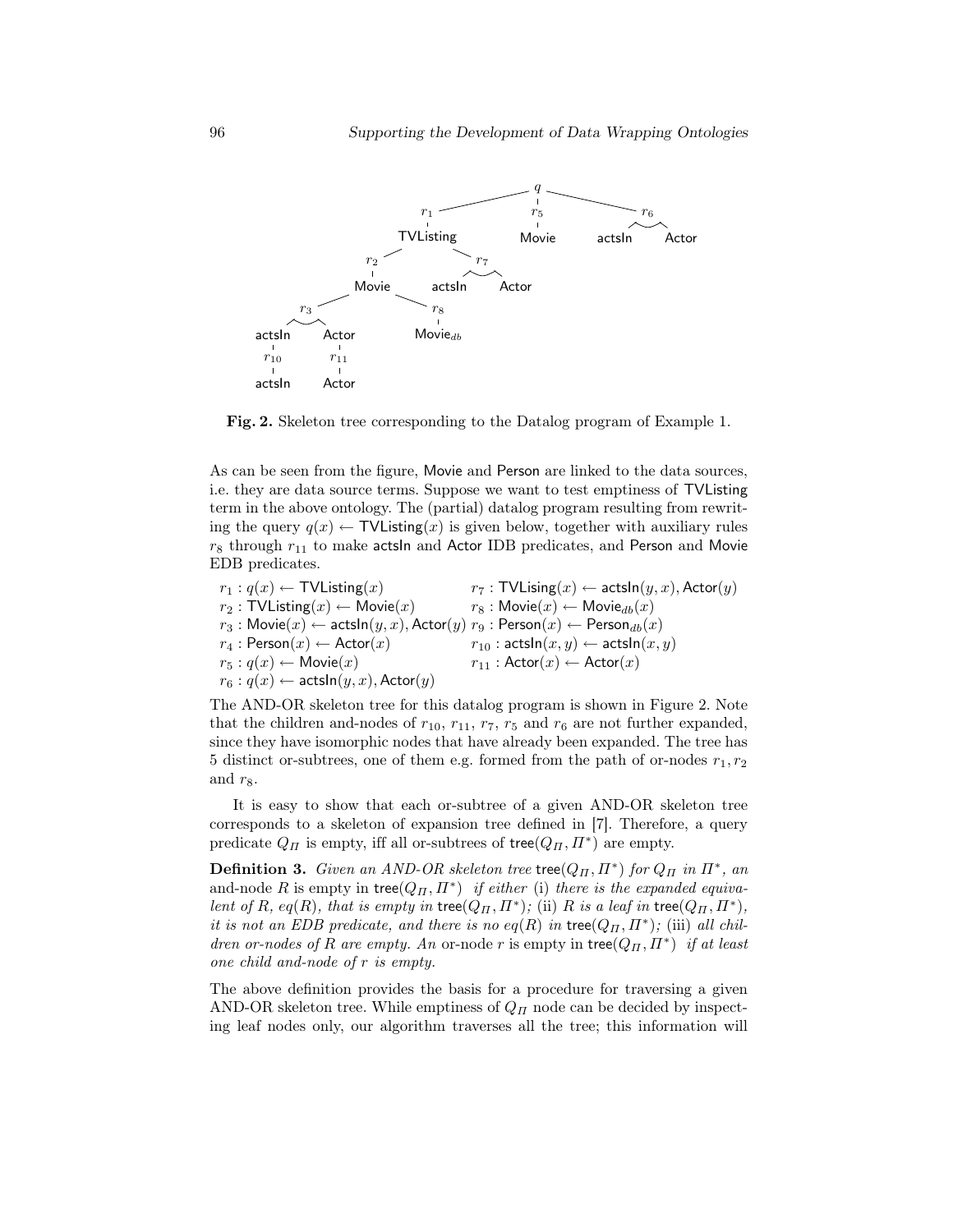

Fig. 2. Skeleton tree corresponding to the Datalog program of Example 1.

As can be seen from the figure, Movie and Person are linked to the data sources, i.e. they are data source terms. Suppose we want to test emptiness of TVListing term in the above ontology. The (partial) datalog program resulting from rewriting the query  $q(x) \leftarrow \text{TVListing}(x)$  is given below, together with auxiliary rules  $r_8$  through  $r_{11}$  to make actsln and Actor IDB predicates, and Person and Movie EDB predicates.

 $r_1 : q(x) \leftarrow \textsf{TVListing}(x)$   $r_7 : \textsf{TVListing}(x) \leftarrow \textsf{actsIn}(y, x), \textsf{Actor}(y)$  $r_2$ : TVListing $(x) \leftarrow$  Movie $(x)$   $r_8$ : Movie $(x) \leftarrow$  Movie $_{db}(x)$  $r_3$ : Movie $(x) \leftarrow$  actsln $(y, x)$ , Actor $(y)$   $r_9$ : Person $(x) \leftarrow$  Person $_{db}(x)$  $r_4: \mathsf{Person}(x) \leftarrow \mathsf{Actor}(x) \hspace{2.5cm} r_{10}: \mathsf{actsIn}(x,y) \leftarrow \mathsf{actsIn}(x,y)$  $r_5: q(x) \leftarrow \text{Movie}(x)$   $r_{11}: \text{Actor}(x) \leftarrow \text{Actor}(x)$  $r_6: q(x) \leftarrow \textsf{actsIn}(y,x), \textsf{Actor}(y)$ 

The AND-OR skeleton tree for this datalog program is shown in Figure 2. Note that the children and-nodes of  $r_{10}$ ,  $r_{11}$ ,  $r_7$ ,  $r_5$  and  $r_6$  are not further expanded, since they have isomorphic nodes that have already been expanded. The tree has 5 distinct or-subtrees, one of them e.g. formed from the path of or-nodes  $r_1, r_2$ and  $r_8$ .

It is easy to show that each or-subtree of a given AND-OR skeleton tree corresponds to a skeleton of expansion tree defined in [7]. Therefore, a query predicate  $Q_{\Pi}$  is empty, iff all or-subtrees of tree $(Q_{\Pi}, \Pi^*)$  are empty.

**Definition 3.** Given an AND-OR skeleton tree tree( $Q_{\Pi}, \Pi^*$ ) for  $Q_{\Pi}$  in  $\Pi^*$ , an and-node R is empty in tree $(Q_{\Pi}, \Pi^*)$  if either (i) there is the expanded equivalent of R, eq(R), that is empty in tree( $Q_H, \Pi^*$ ); (ii) R is a leaf in tree( $Q_H, \Pi^*$ ), it is not an EDB predicate, and there is no  $eq(R)$  in tree $(Q_H, \Pi^*)$ ; (iii) all children or-nodes of R are empty. An or-node r is empty in tree $(Q_H, \Pi^*)$  if at least one child and-node of r is empty.

The above definition provides the basis for a procedure for traversing a given AND-OR skeleton tree. While emptiness of  $Q_{\Pi}$  node can be decided by inspecting leaf nodes only, our algorithm traverses all the tree; this information will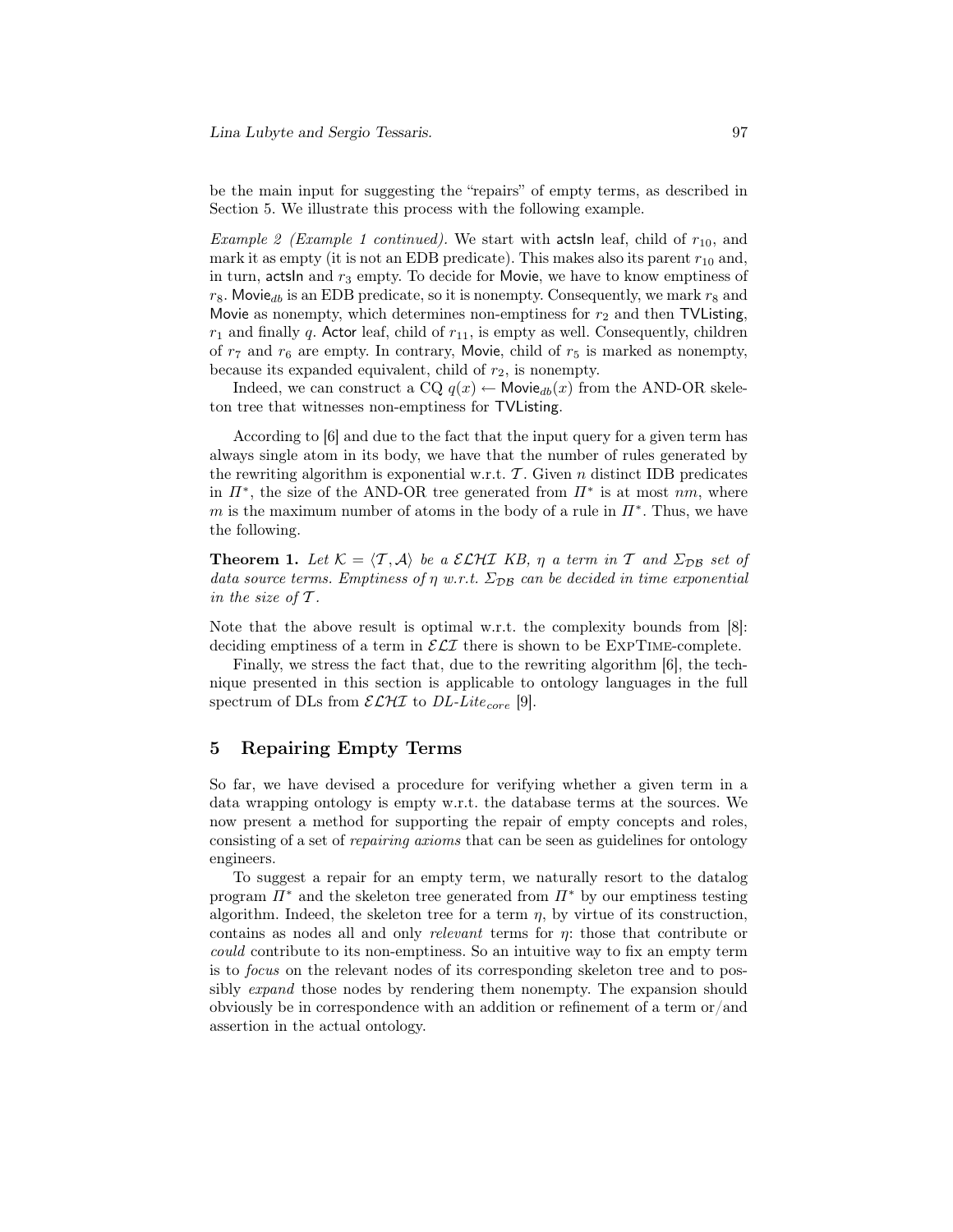be the main input for suggesting the "repairs" of empty terms, as described in Section 5. We illustrate this process with the following example.

Example 2 (Example 1 continued). We start with acts in leaf, child of  $r_{10}$ , and mark it as empty (it is not an EDB predicate). This makes also its parent  $r_{10}$  and, in turn, actsIn and  $r_3$  empty. To decide for Movie, we have to know emptiness of  $r_8$ . Movie<sub>db</sub> is an EDB predicate, so it is nonempty. Consequently, we mark  $r_8$  and Movie as nonempty, which determines non-emptiness for  $r_2$  and then TVL isting,  $r_1$  and finally q. Actor leaf, child of  $r_{11}$ , is empty as well. Consequently, children of  $r_7$  and  $r_6$  are empty. In contrary, Movie, child of  $r_5$  is marked as nonempty, because its expanded equivalent, child of  $r_2$ , is nonempty.

Indeed, we can construct a CQ  $q(x) \leftarrow$  Movie<sub>db</sub> $(x)$  from the AND-OR skeleton tree that witnesses non-emptiness for TVListing.

According to [6] and due to the fact that the input query for a given term has always single atom in its body, we have that the number of rules generated by the rewriting algorithm is exponential w.r.t.  $\mathcal{T}$ . Given n distinct IDB predicates in  $\Pi^*$ , the size of the AND-OR tree generated from  $\Pi^*$  is at most  $nm$ , where m is the maximum number of atoms in the body of a rule in  $\Pi^*$ . Thus, we have the following.

**Theorem 1.** Let  $K = \langle T, \mathcal{A} \rangle$  be a ELHI KB,  $\eta$  a term in T and  $\Sigma_{\text{DB}}$  set of data source terms. Emptiness of  $\eta$  w.r.t.  $\Sigma_{DB}$  can be decided in time exponential in the size of  $\mathcal T$ .

Note that the above result is optimal w.r.t. the complexity bounds from [8]: deciding emptiness of a term in  $\mathcal{ELI}$  there is shown to be  $\text{EXPTIME-complete.}$ 

Finally, we stress the fact that, due to the rewriting algorithm [6], the technique presented in this section is applicable to ontology languages in the full spectrum of DLs from  $\mathcal{ELHI}$  to DL-Lite<sub>core</sub> [9].

#### 5 Repairing Empty Terms

So far, we have devised a procedure for verifying whether a given term in a data wrapping ontology is empty w.r.t. the database terms at the sources. We now present a method for supporting the repair of empty concepts and roles, consisting of a set of repairing axioms that can be seen as guidelines for ontology engineers.

To suggest a repair for an empty term, we naturally resort to the datalog program  $\Pi^*$  and the skeleton tree generated from  $\Pi^*$  by our emptiness testing algorithm. Indeed, the skeleton tree for a term  $\eta$ , by virtue of its construction, contains as nodes all and only *relevant* terms for  $\eta$ : those that contribute or could contribute to its non-emptiness. So an intuitive way to fix an empty term is to focus on the relevant nodes of its corresponding skeleton tree and to possibly *expand* those nodes by rendering them nonempty. The expansion should obviously be in correspondence with an addition or refinement of a term or/and assertion in the actual ontology.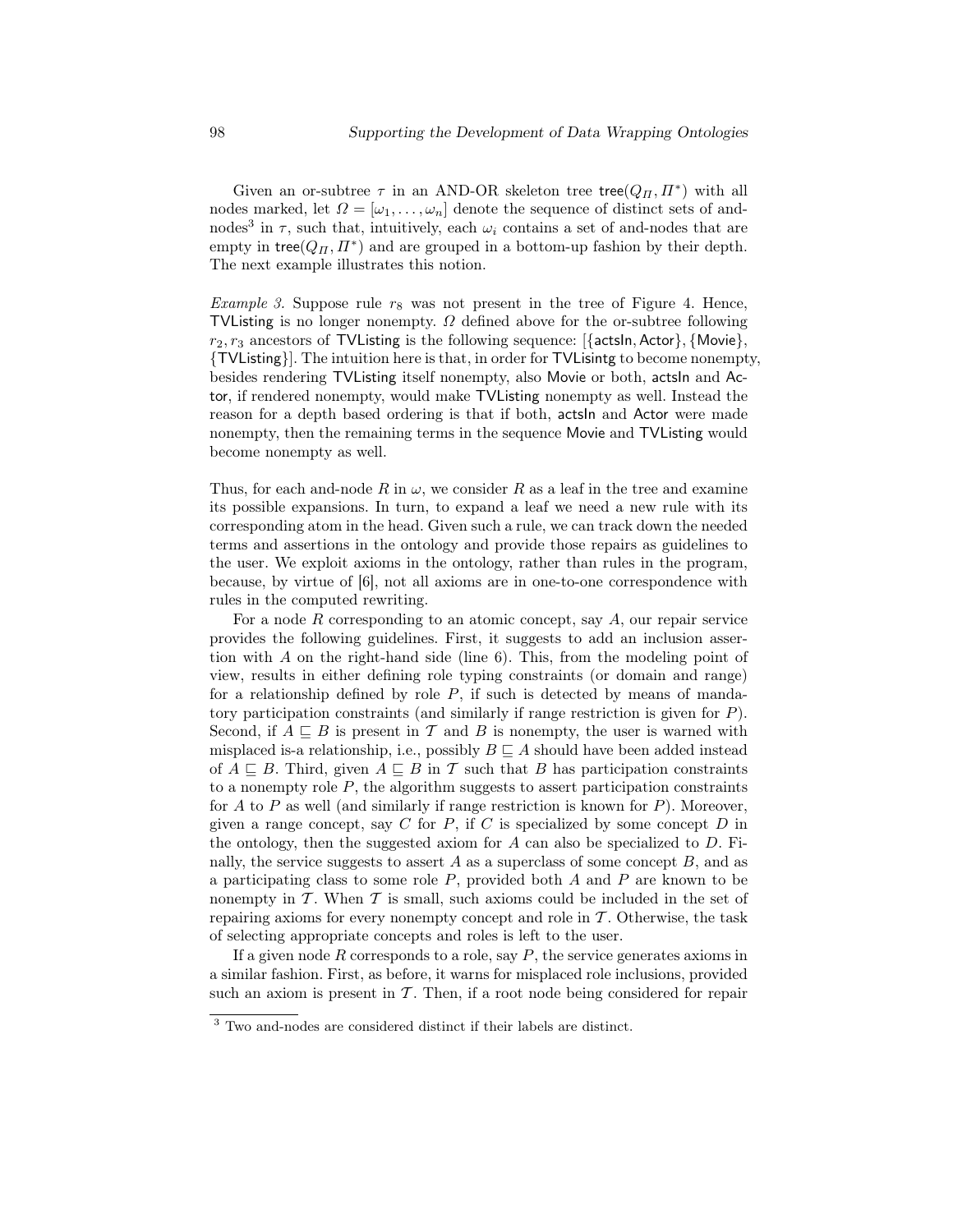Given an or-subtree  $\tau$  in an AND-OR skeleton tree  $\mathsf{tree}(Q_{\Pi}, \Pi^*)$  with all nodes marked, let  $\Omega = [\omega_1, \ldots, \omega_n]$  denote the sequence of distinct sets of andnodes<sup>3</sup> in  $\tau$ , such that, intuitively, each  $\omega_i$  contains a set of and-nodes that are empty in tree $(Q_{\Pi}, \Pi^*)$  and are grouped in a bottom-up fashion by their depth. The next example illustrates this notion.

*Example 3.* Suppose rule  $r_8$  was not present in the tree of Figure 4. Hence, TVListing is no longer nonempty.  $\Omega$  defined above for the or-subtree following  $r_2, r_3$  ancestors of TVListing is the following sequence: [{actsln, Actor}, {Movie}, {TVListing}]. The intuition here is that, in order for TVLisintg to become nonempty, besides rendering TVListing itself nonempty, also Movie or both, actsIn and Actor, if rendered nonempty, would make TVListing nonempty as well. Instead the reason for a depth based ordering is that if both, actsIn and Actor were made nonempty, then the remaining terms in the sequence Movie and TVListing would become nonempty as well.

Thus, for each and-node R in  $\omega$ , we consider R as a leaf in the tree and examine its possible expansions. In turn, to expand a leaf we need a new rule with its corresponding atom in the head. Given such a rule, we can track down the needed terms and assertions in the ontology and provide those repairs as guidelines to the user. We exploit axioms in the ontology, rather than rules in the program, because, by virtue of [6], not all axioms are in one-to-one correspondence with rules in the computed rewriting.

For a node  $R$  corresponding to an atomic concept, say  $A$ , our repair service provides the following guidelines. First, it suggests to add an inclusion assertion with A on the right-hand side (line 6). This, from the modeling point of view, results in either defining role typing constraints (or domain and range) for a relationship defined by role  $P$ , if such is detected by means of mandatory participation constraints (and similarly if range restriction is given for P). Second, if  $A \subseteq B$  is present in T and B is nonempty, the user is warned with misplaced is-a relationship, i.e., possibly  $B \sqsubseteq A$  should have been added instead of  $A \subseteq B$ . Third, given  $A \subseteq B$  in T such that B has participation constraints to a nonempty role  $P$ , the algorithm suggests to assert participation constraints for A to P as well (and similarly if range restriction is known for P). Moreover, given a range concept, say C for P, if C is specialized by some concept D in the ontology, then the suggested axiom for  $A$  can also be specialized to  $D$ . Finally, the service suggests to assert  $A$  as a superclass of some concept  $B$ , and as a participating class to some role  $P$ , provided both  $A$  and  $P$  are known to be nonempty in  $\mathcal T$ . When  $\mathcal T$  is small, such axioms could be included in the set of repairing axioms for every nonempty concept and role in  $\mathcal T$ . Otherwise, the task of selecting appropriate concepts and roles is left to the user.

If a given node  $R$  corresponds to a role, say  $P$ , the service generates axioms in a similar fashion. First, as before, it warns for misplaced role inclusions, provided such an axiom is present in  $\mathcal T$ . Then, if a root node being considered for repair

 $^3$  Two and-nodes are considered distinct if their labels are distinct.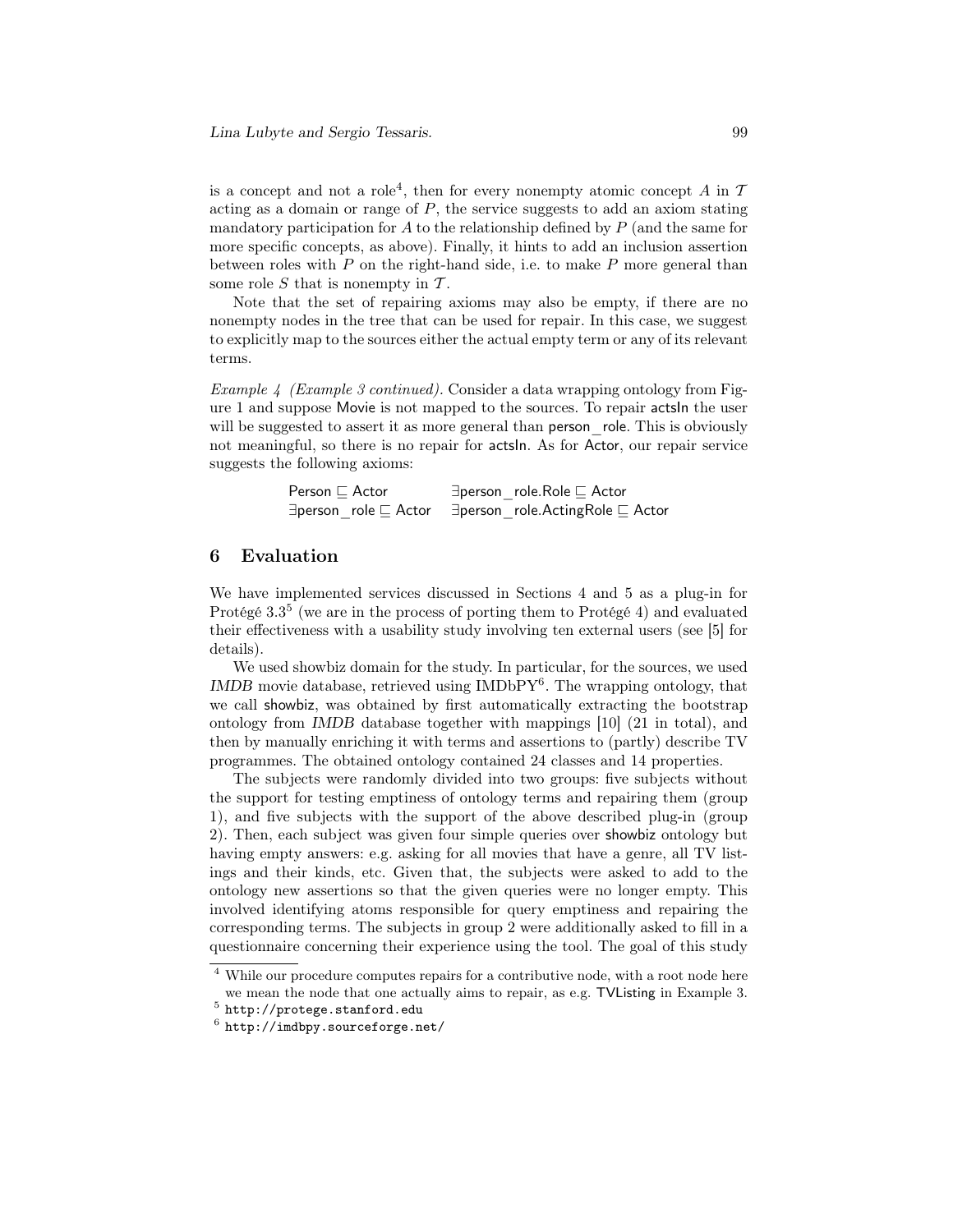is a concept and not a role<sup>4</sup>, then for every nonempty atomic concept  $A$  in  $T$ acting as a domain or range of  $P$ , the service suggests to add an axiom stating mandatory participation for  $A$  to the relationship defined by  $P$  (and the same for more specific concepts, as above). Finally, it hints to add an inclusion assertion between roles with  $P$  on the right-hand side, i.e. to make  $P$  more general than some role  $S$  that is nonempty in  $T$ .

Note that the set of repairing axioms may also be empty, if there are no nonempty nodes in the tree that can be used for repair. In this case, we suggest to explicitly map to the sources either the actual empty term or any of its relevant terms.

Example 4 (Example 3 continued). Consider a data wrapping ontology from Figure 1 and suppose Movie is not mapped to the sources. To repair actsIn the user will be suggested to assert it as more general than person role. This is obviously not meaningful, so there is no repair for actsIn. As for Actor, our repair service suggests the following axioms:

| Person $\sqsubseteq$ Actor | $\exists$ person role.Role $\sqsubseteq$ Actor                                                   |
|----------------------------|--------------------------------------------------------------------------------------------------|
|                            | $\exists$ person role $\sqsubseteq$ Actor $\exists$ person role. Acting Role $\sqsubseteq$ Actor |

#### 6 Evaluation

We have implemented services discussed in Sections 4 and 5 as a plug-in for Protégé 3.3<sup>5</sup> (we are in the process of porting them to Protégé 4) and evaluated their effectiveness with a usability study involving ten external users (see [5] for details).

We used showbiz domain for the study. In particular, for the sources, we used IMDB movie database, retrieved using IMDbPY<sup>6</sup>. The wrapping ontology, that we call showbiz, was obtained by first automatically extracting the bootstrap ontology from IMDB database together with mappings [10] (21 in total), and then by manually enriching it with terms and assertions to (partly) describe TV programmes. The obtained ontology contained 24 classes and 14 properties.

The subjects were randomly divided into two groups: five subjects without the support for testing emptiness of ontology terms and repairing them (group 1), and five subjects with the support of the above described plug-in (group 2). Then, each subject was given four simple queries over showbiz ontology but having empty answers: e.g. asking for all movies that have a genre, all TV listings and their kinds, etc. Given that, the subjects were asked to add to the ontology new assertions so that the given queries were no longer empty. This involved identifying atoms responsible for query emptiness and repairing the corresponding terms. The subjects in group 2 were additionally asked to fill in a questionnaire concerning their experience using the tool. The goal of this study

<sup>4</sup> While our procedure computes repairs for a contributive node, with a root node here we mean the node that one actually aims to repair, as e.g. TVListing in Example 3.

 $^5$  http://protege.stanford.edu

<sup>6</sup> http://imdbpy.sourceforge.net/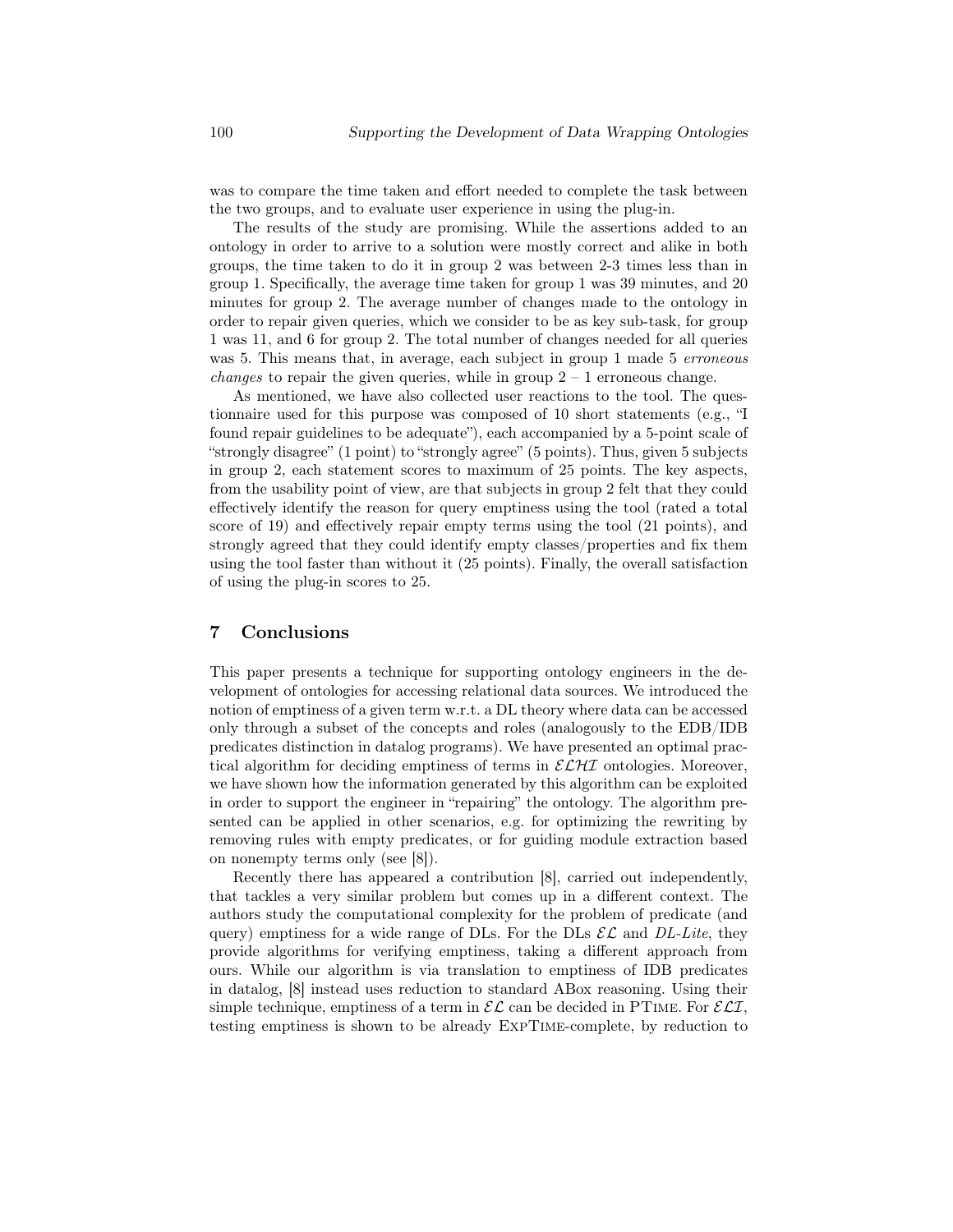was to compare the time taken and effort needed to complete the task between the two groups, and to evaluate user experience in using the plug-in.

The results of the study are promising. While the assertions added to an ontology in order to arrive to a solution were mostly correct and alike in both groups, the time taken to do it in group 2 was between 2-3 times less than in group 1. Specifically, the average time taken for group 1 was 39 minutes, and 20 minutes for group 2. The average number of changes made to the ontology in order to repair given queries, which we consider to be as key sub-task, for group 1 was 11, and 6 for group 2. The total number of changes needed for all queries was 5. This means that, in average, each subject in group 1 made 5 erroneous *changes* to repair the given queries, while in group  $2 - 1$  erroneous change.

As mentioned, we have also collected user reactions to the tool. The questionnaire used for this purpose was composed of 10 short statements (e.g., "I found repair guidelines to be adequate"), each accompanied by a 5-point scale of "strongly disagree" (1 point) to "strongly agree" (5 points). Thus, given 5 subjects in group 2, each statement scores to maximum of 25 points. The key aspects, from the usability point of view, are that subjects in group 2 felt that they could effectively identify the reason for query emptiness using the tool (rated a total score of 19) and effectively repair empty terms using the tool (21 points), and strongly agreed that they could identify empty classes/properties and fix them using the tool faster than without it (25 points). Finally, the overall satisfaction of using the plug-in scores to 25.

## 7 Conclusions

This paper presents a technique for supporting ontology engineers in the development of ontologies for accessing relational data sources. We introduced the notion of emptiness of a given term w.r.t. a DL theory where data can be accessed only through a subset of the concepts and roles (analogously to the EDB/IDB predicates distinction in datalog programs). We have presented an optimal practical algorithm for deciding emptiness of terms in  $\mathcal{ELH}$  ontologies. Moreover, we have shown how the information generated by this algorithm can be exploited in order to support the engineer in "repairing" the ontology. The algorithm presented can be applied in other scenarios, e.g. for optimizing the rewriting by removing rules with empty predicates, or for guiding module extraction based on nonempty terms only (see [8]).

Recently there has appeared a contribution [8], carried out independently, that tackles a very similar problem but comes up in a different context. The authors study the computational complexity for the problem of predicate (and query) emptiness for a wide range of DLs. For the DLs  $\mathcal{EL}$  and DL-Lite, they provide algorithms for verifying emptiness, taking a different approach from ours. While our algorithm is via translation to emptiness of IDB predicates in datalog, [8] instead uses reduction to standard ABox reasoning. Using their simple technique, emptiness of a term in  $\mathcal{EL}$  can be decided in PTIME. For  $\mathcal{ELI}$ , testing emptiness is shown to be already ExpTime-complete, by reduction to